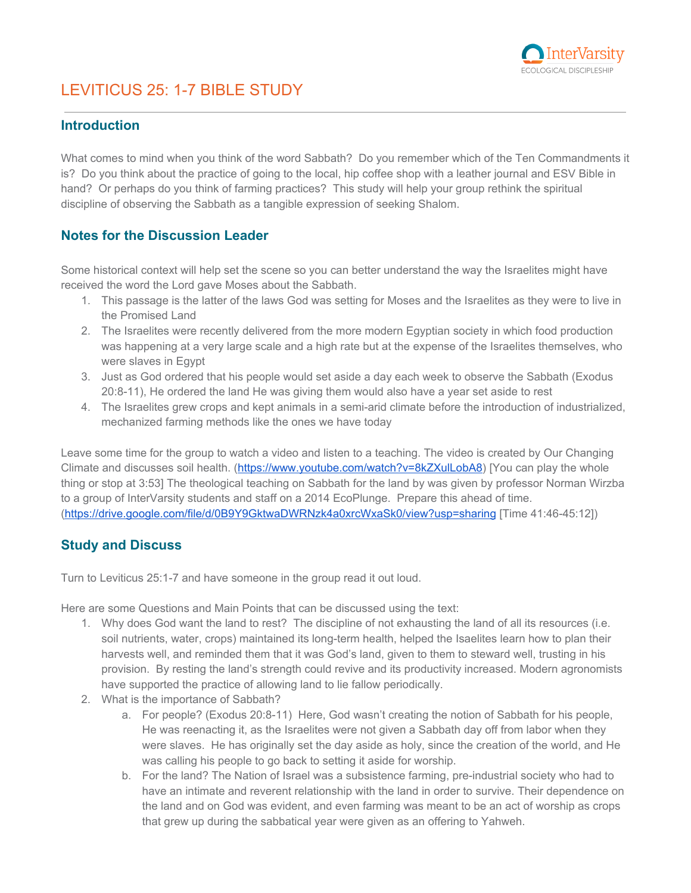

# LEVITICUS 25: 1-7 BIBLE STUDY

#### **Introduction**

What comes to mind when you think of the word Sabbath? Do you remember which of the Ten Commandments it is? Do you think about the practice of going to the local, hip coffee shop with a leather journal and ESV Bible in hand? Or perhaps do you think of farming practices? This study will help your group rethink the spiritual discipline of observing the Sabbath as a tangible expression of seeking Shalom.

#### **Notes for the Discussion Leader**

Some historical context will help set the scene so you can better understand the way the Israelites might have received the word the Lord gave Moses about the Sabbath.

- 1. This passage is the latter of the laws God was setting for Moses and the Israelites as they were to live in the Promised Land
- 2. The Israelites were recently delivered from the more modern Egyptian society in which food production was happening at a very large scale and a high rate but at the expense of the Israelites themselves, who were slaves in Egypt
- 3. Just as God ordered that his people would set aside a day each week to observe the Sabbath (Exodus 20:8-11), He ordered the land He was giving them would also have a year set aside to rest
- 4. The Israelites grew crops and kept animals in a semi-arid climate before the introduction of industrialized, mechanized farming methods like the ones we have today

Leave some time for the group to watch a video and listen to a teaching. The video is created by Our Changing Climate and discusses soil health. ([https://www.youtube.com/watch?v=8kZXulLobA8\)](https://www.youtube.com/watch?v=8kZXulLobA8) [You can play the whole thing or stop at 3:53] The theological teaching on Sabbath for the land by was given by professor Norman Wirzba to a group of InterVarsity students and staff on a 2014 EcoPlunge. Prepare this ahead of time. [\(https://drive.google.com/file/d/0B9Y9GktwaDWRNzk4a0xrcWxaSk0/view?usp=sharing](https://drive.google.com/file/d/0B9Y9GktwaDWRNzk4a0xrcWxaSk0/view?usp=sharing) [Time 41:46-45:12])

#### **Study and Discuss**

Turn to Leviticus 25:1-7 and have someone in the group read it out loud.

Here are some Questions and Main Points that can be discussed using the text:

- 1. Why does God want the land to rest? The discipline of not exhausting the land of all its resources (i.e. soil nutrients, water, crops) maintained its long-term health, helped the Isaelites learn how to plan their harvests well, and reminded them that it was God's land, given to them to steward well, trusting in his provision. By resting the land's strength could revive and its productivity increased. Modern agronomists have supported the practice of allowing land to lie fallow periodically.
- 2. What is the importance of Sabbath?
	- a. For people? (Exodus 20:8-11) Here, God wasn't creating the notion of Sabbath for his people, He was reenacting it, as the Israelites were not given a Sabbath day off from labor when they were slaves. He has originally set the day aside as holy, since the creation of the world, and He was calling his people to go back to setting it aside for worship.
	- b. For the land? The Nation of Israel was a subsistence farming, pre-industrial society who had to have an intimate and reverent relationship with the land in order to survive. Their dependence on the land and on God was evident, and even farming was meant to be an act of worship as crops that grew up during the sabbatical year were given as an offering to Yahweh.